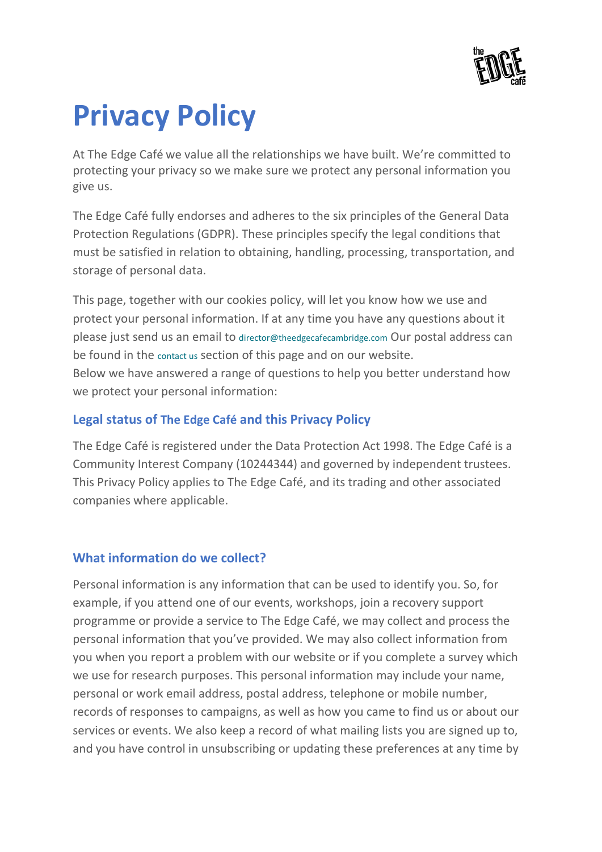# **Privacy Policy**

At The Edge Café we value all the relationships we have built. We're committed to protecting your privacy so we make sure we protect any personal information you give us.

The Edge Café fully endorses and adheres to the six principles of the General Data Protection Regulations (GDPR). These principles specify the legal conditions that must be satisfied in relation to obtaining, handling, processing, transportation, and storage of personal data.

This page, together with our cookies policy, will let you know how we use and protect your personal information. If at any time you have any questions about it please just send us an email to [director@theedgecafecambridge.com](mailto:director@theedgecafecambridge.com) Our postal address can be found in the [contact](http://theedgecafecambridge.org/contact-us) us section of this page and on our website. Below we have answered a range of questions to help you better understand how we protect your personal information:

## **Legal status of The Edge Café and this Privacy Policy**

The Edge Café is registered under the Data Protection Act 1998. The Edge Café is a Community Interest Company (10244344) and governed by independent trustees. This Privacy Policy applies to The Edge Café, and its trading and other associated companies where applicable.

## **What information do we collect?**

Personal information is any information that can be used to identify you. So, for example, if you attend one of our events, workshops, join a recovery support programme or provide a service to The Edge Café, we may collect and process the personal information that you've provided. We may also collect information from you when you report a problem with our website or if you complete a survey which we use for research purposes. This personal information may include your name, personal or work email address, postal address, telephone or mobile number, records of responses to campaigns, as well as how you came to find us or about our services or events. We also keep a record of what mailing lists you are signed up to, and you have control in unsubscribing or updating these preferences at any time by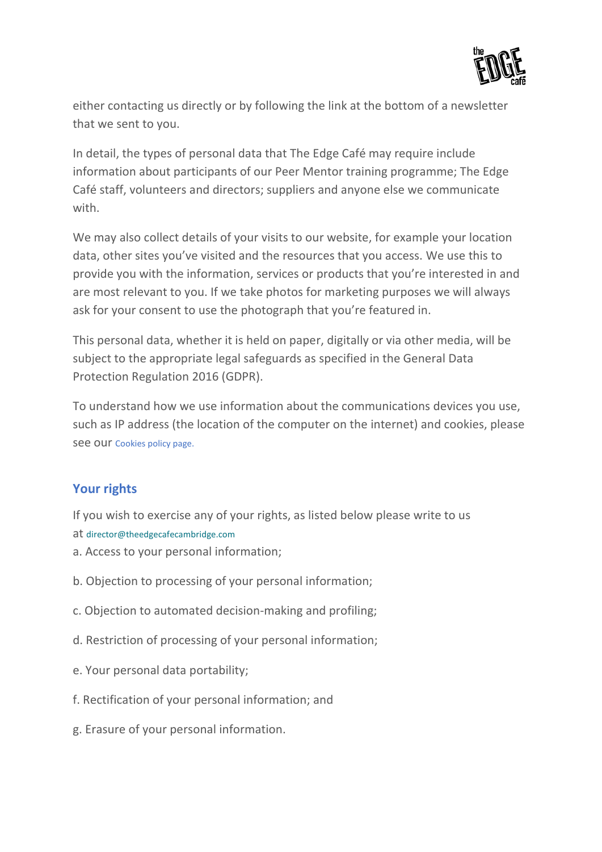

either contacting us directly or by following the link at the bottom of a newsletter that we sent to you.

In detail, the types of personal data that The Edge Café may require include information about participants of our Peer Mentor training programme; The Edge Café staff, volunteers and directors; suppliers and anyone else we communicate with.

We may also collect details of your visits to our website, for example your location data, other sites you've visited and the resources that you access. We use this to provide you with the information, services or products that you're interested in and are most relevant to you. If we take photos for marketing purposes we will always ask for your consent to use the photograph that you're featured in.

This personal data, whether it is held on paper, digitally or via other media, will be subject to the appropriate legal safeguards as specified in the General Data Protection Regulation 2016 (GDPR).

To understand how we use information about the communications devices you use, such as IP address (the location of the computer on the internet) and cookies, please see our [Cookies](https://allia.org.uk/information/cookie-policy/) policy page.

#### **Your rights**

If you wish to exercise any of your rights, as listed below please write to us at [director@theedgecafecambridge.com](mailto:director@theedgecafecambridge.com)

- a. Access to your personal information;
- b. Objection to processing of your personal information;
- c. Objection to automated decision-making and profiling;
- d. Restriction of processing of your personal information;
- e. Your personal data portability;
- f. Rectification of your personal information; and
- g. Erasure of your personal information.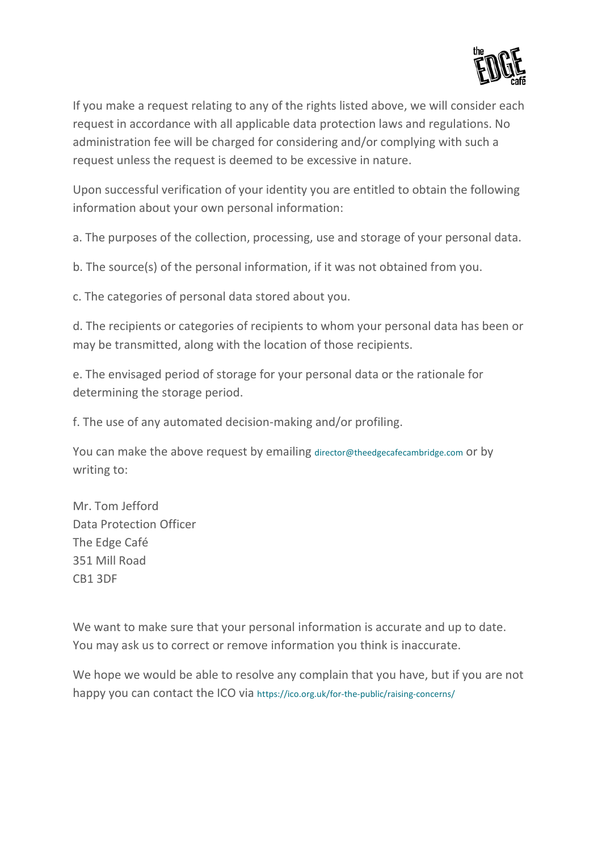

If you make a request relating to any of the rights listed above, we will consider each request in accordance with all applicable data protection laws and regulations. No administration fee will be charged for considering and/or complying with such a request unless the request is deemed to be excessive in nature.

Upon successful verification of your identity you are entitled to obtain the following information about your own personal information:

a. The purposes of the collection, processing, use and storage of your personal data.

b. The source(s) of the personal information, if it was not obtained from you.

c. The categories of personal data stored about you.

d. The recipients or categories of recipients to whom your personal data has been or may be transmitted, along with the location of those recipients.

e. The envisaged period of storage for your personal data or the rationale for determining the storage period.

f. The use of any automated decision-making and/or profiling.

You can make the above request by emailing [director@theedgecafecambridge.com](mailto:director@theedgecafecambridge.com) or by writing to:

Mr. Tom Jefford Data Protection Officer The Edge Café 351 Mill Road CB1 3DF

We want to make sure that your personal information is accurate and up to date. You may ask us to correct or remove information you think is inaccurate.

We hope we would be able to resolve any complain that you have, but if you are not happy you can contact the ICO via <https://ico.org.uk/for-the-public/raising-concerns/>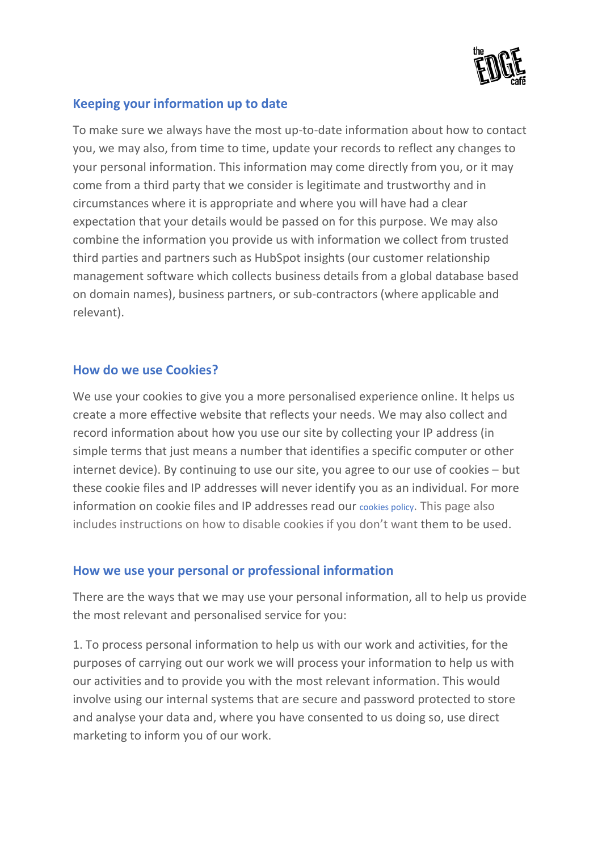

#### **Keeping your information up to date**

To make sure we always have the most up-to-date information about how to contact you, we may also, from time to time, update your records to reflect any changes to your personal information. This information may come directly from you, or it may come from a third party that we consider is legitimate and trustworthy and in circumstances where it is appropriate and where you will have had a clear expectation that your details would be passed on for this purpose. We may also combine the information you provide us with information we collect from trusted third parties and partners such as HubSpot insights (our customer relationship management software which collects business details from a global database based on domain names), business partners, or sub-contractors (where applicable and relevant).

#### **How do we use Cookies?**

We use your cookies to give you a more personalised experience online. It helps us create a more effective website that reflects your needs. We may also collect and record information about how you use our site by collecting your IP address (in simple terms that just means a number that identifies a specific computer or other internet device). By continuing to use our site, you agree to our use of cookies – but these cookie files and IP addresses will never identify you as an individual. For more information on cookie files and IP addresses read our cookies [policy.](https://allia.org.uk/information/cookie-policy/) This page also includes instructions on how to disable cookies if you don't want them to be used.

#### **How we use your personal or professional information**

There are the ways that we may use your personal information, all to help us provide the most relevant and personalised service for you:

1. To process personal information to help us with our work and activities, for the purposes of carrying out our work we will process your information to help us with our activities and to provide you with the most relevant information. This would involve using our internal systems that are secure and password protected to store and analyse your data and, where you have consented to us doing so, use direct marketing to inform you of our work.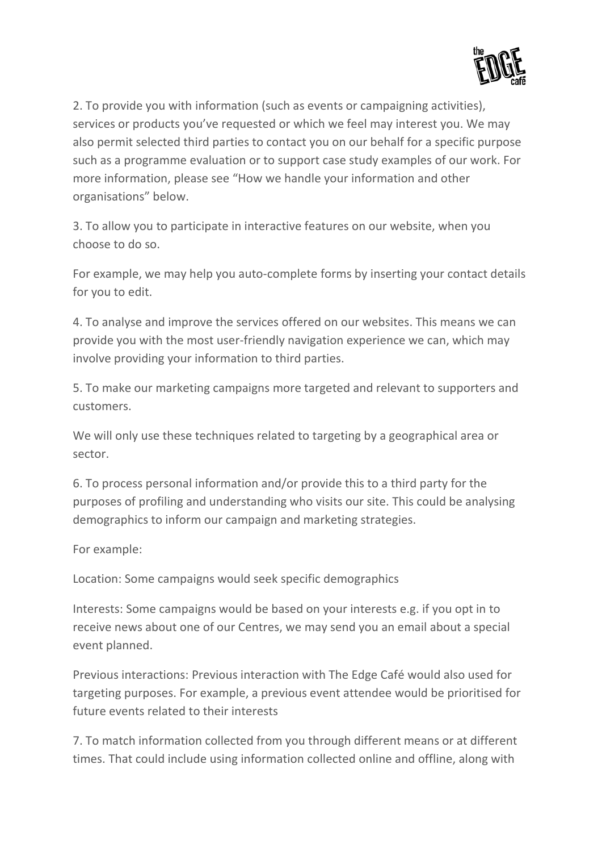

2. To provide you with information (such as events or campaigning activities), services or products you've requested or which we feel may interest you. We may also permit selected third parties to contact you on our behalf for a specific purpose such as a programme evaluation or to support case study examples of our work. For more information, please see "How we handle your information and other organisations" below.

3. To allow you to participate in interactive features on our website, when you choose to do so.

For example, we may help you auto-complete forms by inserting your contact details for you to edit.

4. To analyse and improve the services offered on our websites. This means we can provide you with the most user-friendly navigation experience we can, which may involve providing your information to third parties.

5. To make our marketing campaigns more targeted and relevant to supporters and customers.

We will only use these techniques related to targeting by a geographical area or sector.

6. To process personal information and/or provide this to a third party for the purposes of profiling and understanding who visits our site. This could be analysing demographics to inform our campaign and marketing strategies.

For example:

Location: Some campaigns would seek specific demographics

Interests: Some campaigns would be based on your interests e.g. if you opt in to receive news about one of our Centres, we may send you an email about a special event planned.

Previous interactions: Previous interaction with The Edge Café would also used for targeting purposes. For example, a previous event attendee would be prioritised for future events related to their interests

7. To match information collected from you through different means or at different times. That could include using information collected online and offline, along with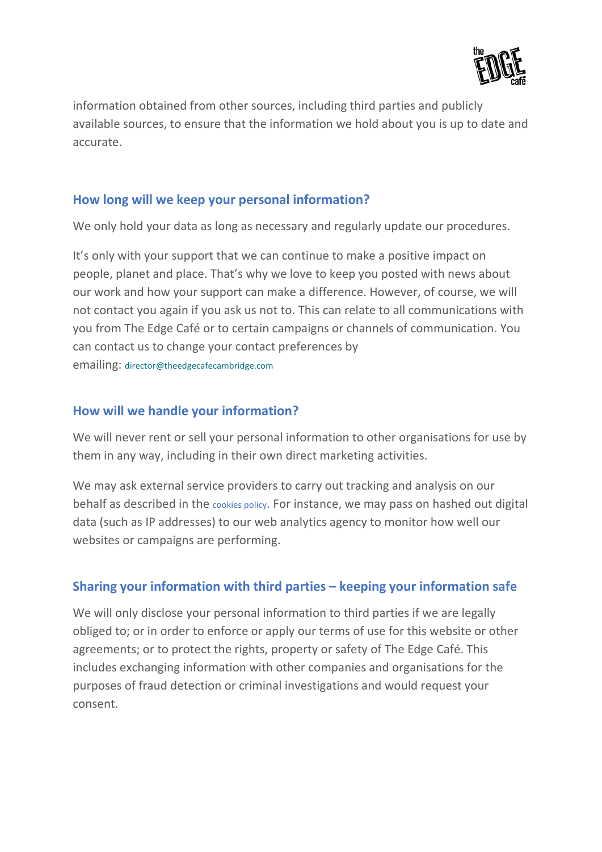

information obtained from other sources, including third parties and publicly available sources, to ensure that the information we hold about you is up to date and accurate.

#### **How long will we keep your personal information?**

We only hold your data as long as necessary and regularly update our procedures.

It's only with your support that we can continue to make a positive impact on people, planet and place. That's why we love to keep you posted with news about our work and how your support can make a difference. However, of course, we will not contact you again if you ask us not to. This can relate to all communications with you from The Edge Café or to certain campaigns or channels of communication. You can contact us to change your contact preferences by emailing: [director@theedgecafecambridge.com](mailto:director@theedgecafecambridge.com)

#### **How will we handle your information?**

We will never rent or sell your personal information to other organisations for use by them in any way, including in their own direct marketing activities.

We may ask external service providers to carry out tracking and analysis on our behalf as described in the cookies [policy.](https://allia.org.uk/information/cookie-policy/) For instance, we may pass on hashed out digital data (such as IP addresses) to our web analytics agency to monitor how well our websites or campaigns are performing.

#### **Sharing your information with third parties – keeping your information safe**

We will only disclose your personal information to third parties if we are legally obliged to; or in order to enforce or apply our terms of use for this website or other agreements; or to protect the rights, property or safety of The Edge Café. This includes exchanging information with other companies and organisations for the purposes of fraud detection or criminal investigations and would request your consent.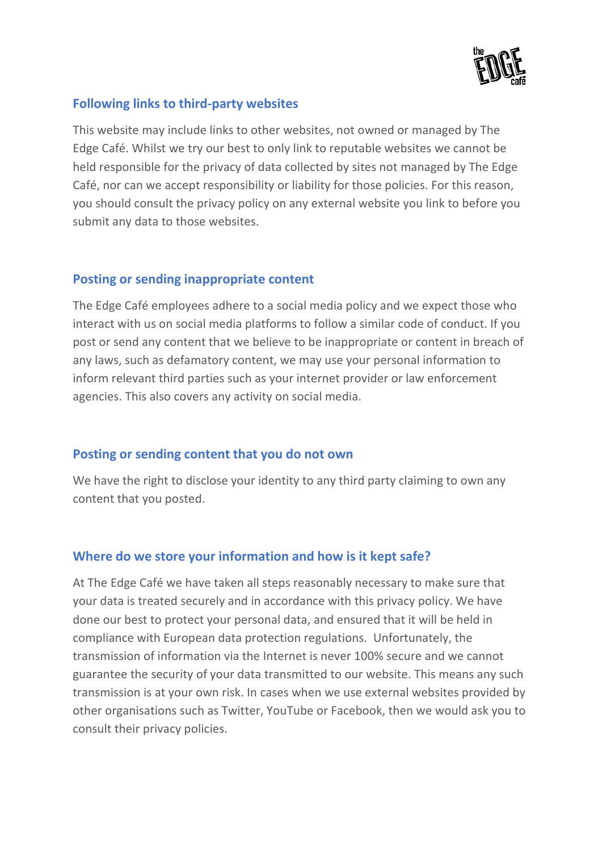

#### **Following links to third-party websites**

This website may include links to other websites, not owned or managed by The Edge Café. Whilst we try our best to only link to reputable websites we cannot be held responsible for the privacy of data collected by sites not managed by The Edge Café, nor can we accept responsibility or liability for those policies. For this reason, you should consult the privacy policy on any external website you link to before you submit any data to those websites.

#### **Posting or sending inappropriate content**

The Edge Café employees adhere to a social media policy and we expect those who interact with us on social media platforms to follow a similar code of conduct. If you post or send any content that we believe to be inappropriate or content in breach of any laws, such as defamatory content, we may use your personal information to inform relevant third parties such as your internet provider or law enforcement agencies. This also covers any activity on social media.

#### **Posting or sending content that you do not own**

We have the right to disclose your identity to any third party claiming to own any content that you posted.

#### **Where do we store your information and how is it kept safe?**

At The Edge Café we have taken all steps reasonably necessary to make sure that your data is treated securely and in accordance with this privacy policy. We have done our best to protect your personal data, and ensured that it will be held in compliance with European data protection regulations. Unfortunately, the transmission of information via the Internet is never 100% secure and we cannot guarantee the security of your data transmitted to our website. This means any such transmission is at your own risk. In cases when we use external websites provided by other organisations such as Twitter, YouTube or Facebook, then we would ask you to consult their privacy policies.